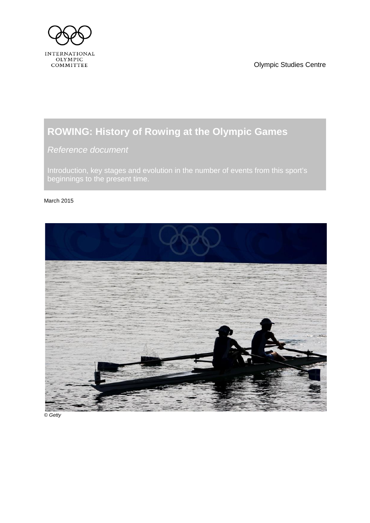<span id="page-0-1"></span>

Olympic Studies Centre

# **ROWING: History of Rowing at the Olympic Games**

<span id="page-0-0"></span>*Reference document*

Introduction, key stages and evolution in the number of events from this sport's beginnings to the present time.

#### March 2015



*© Getty*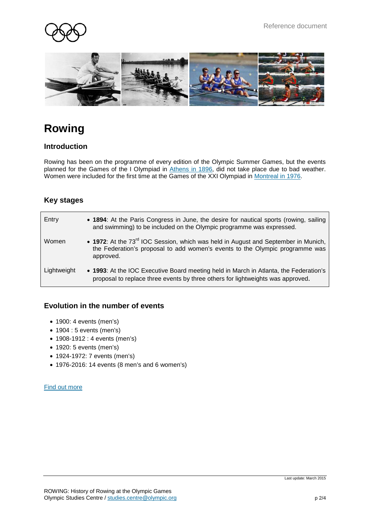



# **Rowing**

### **Introduction**

Rowing has been on the programme of every edition of the Olympic Summer Games, but the events planned for the Games of the I Olympiad in [Athens](http://www.olympic.org/athens-1896-summer-olympics) in 1896, did not take place due to bad weather. Women were included for the first time at the Games of the XXI Olympiad in [Montreal in 1976.](http://www.olympic.org/montreal-1976-summer-olympics)

## **Key stages**

| Entry       | • 1894: At the Paris Congress in June, the desire for nautical sports (rowing, sailing<br>and swimming) to be included on the Olympic programme was expressed.                              |
|-------------|---------------------------------------------------------------------------------------------------------------------------------------------------------------------------------------------|
| Women       | • 1972: At the 73 <sup>rd</sup> IOC Session, which was held in August and September in Munich,<br>the Federation's proposal to add women's events to the Olympic programme was<br>approved. |
| Lightweight | • 1993: At the IOC Executive Board meeting held in March in Atlanta, the Federation's<br>proposal to replace three events by three others for lightweights was approved.                    |

### **Evolution in the number of events**

- 1900: 4 events (men's)
- 1904 : 5 events (men's)
- 1908-1912 : 4 events (men's)
- 1920: 5 events (men's)
- 1924-1972: 7 events (men's)
- 1976-2016: 14 events (8 men's and 6 women's)

#### [Find out more](http://www.olympic.org/rowing)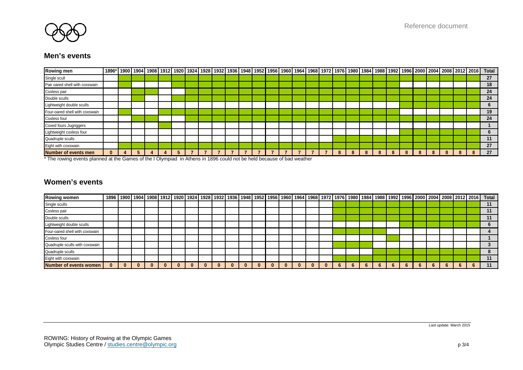

### **Men's events**

| Rowing men                     |          |  |  |  |  |  |  |  |   |   |  |   |   |  |  | 1896* 1900 1904 1908 1912 1920 1924 1928 1932 1936 1948 1952 1956 1960 1964 1968 1972 1976 1980 1984 1988 1992 1996 2000 2004 2008 2012 2016  Total |
|--------------------------------|----------|--|--|--|--|--|--|--|---|---|--|---|---|--|--|-----------------------------------------------------------------------------------------------------------------------------------------------------|
| Single scull                   |          |  |  |  |  |  |  |  |   |   |  |   |   |  |  | 27                                                                                                                                                  |
| Pair oared shell with coxswain |          |  |  |  |  |  |  |  |   |   |  |   |   |  |  | 18                                                                                                                                                  |
| Coxless pair                   |          |  |  |  |  |  |  |  |   |   |  |   |   |  |  | 24                                                                                                                                                  |
| Double sculls                  |          |  |  |  |  |  |  |  |   |   |  |   |   |  |  | 24                                                                                                                                                  |
| Lightweight double sculls      |          |  |  |  |  |  |  |  |   |   |  |   |   |  |  |                                                                                                                                                     |
| Four-oared shell with coxswain |          |  |  |  |  |  |  |  |   |   |  |   |   |  |  | 19                                                                                                                                                  |
| Coxless four                   |          |  |  |  |  |  |  |  |   |   |  |   |   |  |  | 24                                                                                                                                                  |
| Coxed fours Jugriggers         |          |  |  |  |  |  |  |  |   |   |  |   |   |  |  |                                                                                                                                                     |
| Lightweight coxless four       |          |  |  |  |  |  |  |  |   |   |  |   |   |  |  |                                                                                                                                                     |
| Quadruple sculls               |          |  |  |  |  |  |  |  |   |   |  |   |   |  |  |                                                                                                                                                     |
| Eight with coxswain            |          |  |  |  |  |  |  |  |   |   |  |   |   |  |  | 27                                                                                                                                                  |
| Number of events men           | $\bf{0}$ |  |  |  |  |  |  |  | 7 | 8 |  | 8 | 8 |  |  | 27                                                                                                                                                  |

\* The rowing events planned at the Games of the I Olympiad in Athens in 1896 could not be held because of bad weather

## **Women's events**

| <b>Rowing women</b>            |  |  |  |  |  |  |  |  |  |  |  |  |  |  | 1900 1904 1908 1912 1920 1924 1928 1932 1936 1948 1952 1956 1960 1960 1964 1968 1972 1976 1980 1984 1988 1992 1996 2000 2004 2008 2012 2016   Total |
|--------------------------------|--|--|--|--|--|--|--|--|--|--|--|--|--|--|-----------------------------------------------------------------------------------------------------------------------------------------------------|
| Single sculls                  |  |  |  |  |  |  |  |  |  |  |  |  |  |  |                                                                                                                                                     |
| Coxless pair                   |  |  |  |  |  |  |  |  |  |  |  |  |  |  |                                                                                                                                                     |
| Double sculls                  |  |  |  |  |  |  |  |  |  |  |  |  |  |  |                                                                                                                                                     |
| Lightweight double sculls      |  |  |  |  |  |  |  |  |  |  |  |  |  |  |                                                                                                                                                     |
| Four-oared shell with coxswain |  |  |  |  |  |  |  |  |  |  |  |  |  |  |                                                                                                                                                     |
| Coxless four                   |  |  |  |  |  |  |  |  |  |  |  |  |  |  |                                                                                                                                                     |
| Quadruple sculls with coxswain |  |  |  |  |  |  |  |  |  |  |  |  |  |  |                                                                                                                                                     |
| Quadruple sculls               |  |  |  |  |  |  |  |  |  |  |  |  |  |  |                                                                                                                                                     |
| Eight with coxswain            |  |  |  |  |  |  |  |  |  |  |  |  |  |  |                                                                                                                                                     |
| Number of events women         |  |  |  |  |  |  |  |  |  |  |  |  |  |  |                                                                                                                                                     |